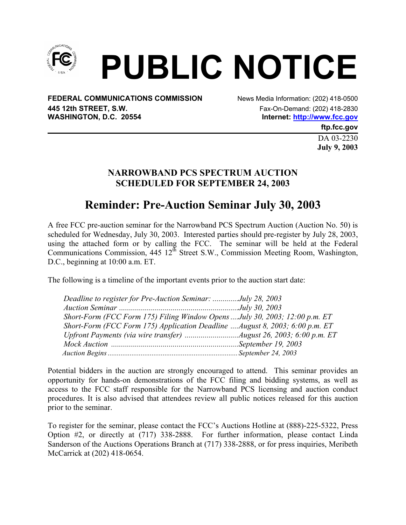

**FEDERAL COMMUNICATIONS COMMISSION** News Media Information: (202) 418-0500 **445 12th STREET, S.W.**<br> **WASHINGTON, D.C. 20554**<br> **WASHINGTON, D.C. 20554**<br> **Fax-On-Demand: (202) 418-2830** 

Internet: http://www.fcc.gov

**ftp.fcc.gov** 

DA 03-2230 **July 9, 2003** 

## **NARROWBAND PCS SPECTRUM AUCTION SCHEDULED FOR SEPTEMBER 24, 2003**

## **Reminder: Pre-Auction Seminar July 30, 2003**

A free FCC pre-auction seminar for the Narrowband PCS Spectrum Auction (Auction No. 50) is scheduled for Wednesday, July 30, 2003. Interested parties should pre-register by July 28, 2003, using the attached form or by calling the FCC. The seminar will be held at the Federal Communications Commission, 445 12<sup>th</sup> Street S.W., Commission Meeting Room, Washington, D.C., beginning at 10:00 a.m. ET.

The following is a timeline of the important events prior to the auction start date:

| Deadline to register for Pre-Auction Seminar: July 28, 2003                 |  |
|-----------------------------------------------------------------------------|--|
|                                                                             |  |
| Short-Form (FCC Form 175) Filing Window Opens  July 30, 2003; 12:00 p.m. ET |  |
| Short-Form (FCC Form 175) Application Deadline August 8, 2003; 6:00 p.m. ET |  |
|                                                                             |  |
|                                                                             |  |
|                                                                             |  |

Potential bidders in the auction are strongly encouraged to attend. This seminar provides an opportunity for hands-on demonstrations of the FCC filing and bidding systems, as well as access to the FCC staff responsible for the Narrowband PCS licensing and auction conduct procedures. It is also advised that attendees review all public notices released for this auction prior to the seminar.

To register for the seminar, please contact the FCC's Auctions Hotline at (888)-225-5322, Press Option #2, or directly at (717) 338-2888. For further information, please contact Linda Sanderson of the Auctions Operations Branch at (717) 338-2888, or for press inquiries, Meribeth McCarrick at (202) 418-0654.